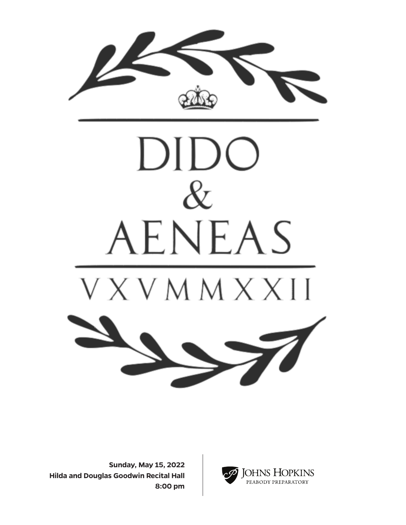



**Sunday, May 15, 2022 Hilda and Douglas Goodwin Recital Hall 8:00 pm**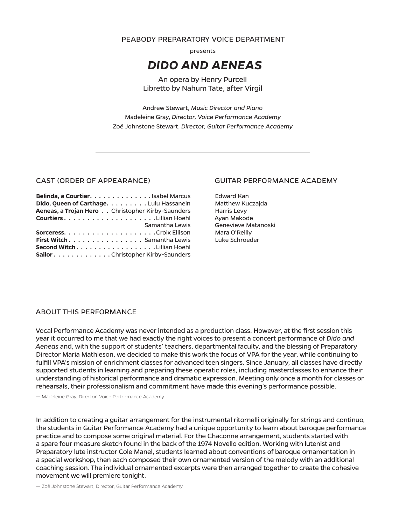PEABODY PREPARATORY VOICE DEPARTMENT

presents

# **DIDO AND AENEAS**

An opera by Henry Purcell Libretto by Nahum Tate, after Virgil

Andrew Stewart, Music Director and Piano Madeleine Gray, Director, Voice Performance Academy Zoë Johnstone Stewart, Director, Guitar Performance Academy

#### CAST (ORDER OF APPEARANCE)

| Belinda, a Courtier. Isabel Marcus                      |  |
|---------------------------------------------------------|--|
| Dido, Oueen of Carthage. Lulu Hassanein                 |  |
| <b>Aeneas, a Trojan Hero</b> Christopher Kirby-Saunders |  |
|                                                         |  |
| <b>Samantha Lewis</b>                                   |  |
|                                                         |  |
| <b>First Witch</b> Samantha Lewis                       |  |
| Second Witch. Lillian Hoehl                             |  |
| Sailor Christopher Kirby-Saunders                       |  |

# **GUITAR PERFORMANCE ACADEMY**

**Edward Kan** Matthew Kuczajda Harris Levy Ayan Makode Genevieve Matanoski Mara O'Reilly Luke Schroeder

# ABOUT THIS PERFORMANCE

Vocal Performance Academy was never intended as a production class. However, at the first session this year it occurred to me that we had exactly the right voices to present a concert performance of Dido and Aeneas and, with the support of students' teachers, departmental faculty, and the blessing of Preparatory Director Maria Mathieson, we decided to make this work the focus of VPA for the year, while continuing to fulfill VPA's mission of enrichment classes for advanced teen singers. Since January, all classes have directly supported students in learning and preparing these operatic roles, including masterclasses to enhance their understanding of historical performance and dramatic expression. Meeting only once a month for classes or rehearsals, their professionalism and commitment have made this evening's performance possible.

- Madeleine Gray, Director, Voice Performance Academy

In addition to creating a guitar arrangement for the instrumental ritornelli originally for strings and continuo, the students in Guitar Performance Academy had a unique opportunity to learn about baroque performance practice and to compose some original material. For the Chaconne arrangement, students started with a spare four measure sketch found in the back of the 1974 Novello edition. Working with lutenist and Preparatory lute instructor Cole Manel, students learned about conventions of baroque ornamentation in a special workshop, then each composed their own ornamented version of the melody with an additional coaching session. The individual ornamented excerpts were then arranged together to create the cohesive movement we will premiere tonight.

- Zoë Johnstone Stewart, Director, Guitar Performance Academy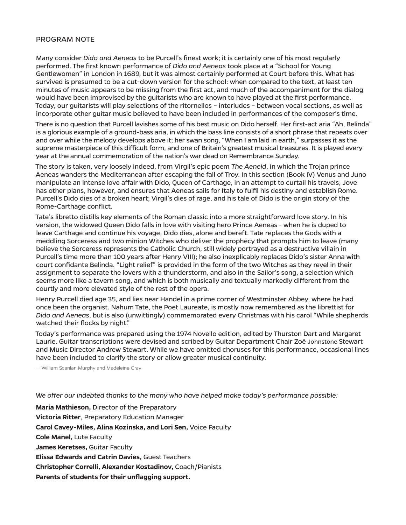# PROGRAM NOTE

Many consider *Dido and Aeneas* to be Purcell's finest work; it is certainly one of his most regularly performed. The first known performance of *Dido and Aeneas* took place at a "School for Young Gentlewomen" in London in 1689, but it was almost certainly performed at Court before this. What has survived is presumed to be a cut-down version for the school: when compared to the text, at least ten minutes of music appears to be missing from the first act, and much of the accompaniment for the dialog would have been improvised by the guitarists who are known to have played at the first performance. Today, our guitarists will play selections of the ritornellos – interludes – between vocal sections, as well as incorporate other guitar music believed to have been included in performances of the composer's time.

There is no question that Purcell lavishes some of his best music on Dido herself. Her first-act aria "Ah, Belinda" is a glorious example of a ground-bass aria, in which the bass line consists of a short phrase that repeats over and over while the melody develops above it; her swan song, "When I am laid in earth," surpasses it as the supreme masterpiece of this difficult form, and one of Britain's greatest musical treasures. It is played every year at the annual commemoration of the nation's war dead on Remembrance Sunday.

The story is taken, very loosely indeed, from Virgil's epic poem *The Aeneid*, in which the Trojan prince Aeneas wanders the Mediterranean after escaping the fall of Troy. In this section (Book IV) Venus and Juno manipulate an intense love affair with Dido, Queen of Carthage, in an attempt to curtail his travels; Jove has other plans, however, and ensures that Aeneas sails for Italy to fulfil his destiny and establish Rome. Purcell's Dido dies of a broken heart; Virgil's dies of rage, and his tale of Dido is the origin story of the Rome-Carthage conflict.

Tate's libretto distills key elements of the Roman classic into a more straightforward love story. In his version, the widowed Queen Dido falls in love with visiting hero Prince Aeneas - when he is duped to leave Carthage and continue his voyage, Dido dies, alone and bereft. Tate replaces the Gods with a meddling Sorceress and two minion Witches who deliver the prophecy that prompts him to leave (many believe the Sorceress represents the Catholic Church, still widely portrayed as a destructive villain in Purcell's time more than 100 years after Henry VIII); he also inexplicably replaces Dido's sister Anna with court confidante Belinda. "Light relief" is provided in the form of the two Witches as they revel in their assignment to separate the lovers with a thunderstorm, and also in the Sailor's song, a selection which seems more like a tavern song, and which is both musically and textually markedly different from the courtly and more elevated style of the rest of the opera.

Henry Purcell died age 35, and lies near Handel in a prime corner of Westminster Abbey, where he had once been the organist. Nahum Tate, the Poet Laureate, is mostly now remembered as the librettist for *Dido and Aeneas*, but is also (unwittingly) commemorated every Christmas with his carol "While shepherds watched their flocks by night."

Today's performance was prepared using the 1974 Novello edition, edited by Thurston Dart and Margaret Laurie. Guitar transcriptions were devised and scribed by Guitar Department Chair Zoë Johnstone Stewart and Music Director Andrew Stewart. While we have omitted choruses for this performance, occasional lines have been included to clarify the story or allow greater musical continuity.

— William Scanlan Murphy and Madeleine Gray

*We offer our indebted thanks to the many who have helped make today's performance possible:* 

**Maria Mathieson,** Director of the Preparatory **Victoria Ritter**, Preparatory Education Manager **Carol Cavey-Miles, Alina Kozinska, and Lori Sen,** Voice Faculty **Cole Manel,** Lute Faculty **James Keretses,** Guitar Faculty **Elissa Edwards and Catrin Davies,** Guest Teachers **Christopher Correlli, Alexander Kostadinov,** Coach/Pianists **Parents of students for their unflagging support.**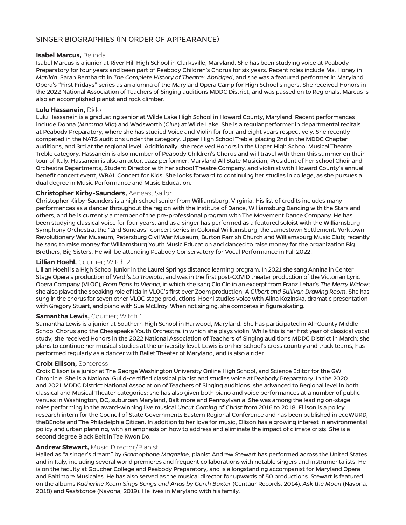# SINGER BIOGRAPHIES (IN ORDER OF APPEARANCE)

#### **Isabel Marcus,** Belinda

Isabel Marcus is a junior at River Hill High School in Clarksville, Maryland. She has been studying voice at Peabody Preparatory for four years and been part of Peabody Children's Chorus for six years. Recent roles include Ms. Honey in *Matilda*, Sarah Bernhardt in *The Complete History of Theatre: Abridged*, and she was a featured performer in Maryland Opera's "First Fridays" series as an alumna of the Maryland Opera Camp for High School singers. She received Honors in the 2022 National Association of Teachers of Singing auditions MDDC District, and was passed on to Regionals. Marcus is also an accomplished pianist and rock climber.

#### **Lulu Hassanein,** Dido

Lulu Hassanein is a graduating senior at Wilde Lake High School in Howard County, Maryland. Recent performances include Donna (*Mamma Mia*) and Wadsworth (*Clue*) at Wilde Lake. She is a regular performer in departmental recitals at Peabody Preparatory, where she has studied Voice and Violin for four and eight years respectively. She recently competed in the NATS auditions under the category, Upper High School Treble, placing 2nd in the MDDC Chapter auditions, and 3rd at the regional level. Additionally, she received Honors in the Upper High School Musical Theatre Treble category. Hassanein is also member of Peabody Children's Chorus and will travel with them this summer on their tour of Italy. Hassanein is also an actor, Jazz performer, Maryland All State Musician, President of her school Choir and Orchestra Departments, Student Director with her school Theatre Company, and violinist with Howard County's annual benefit concert event, WBAL Concert for Kids. She looks forward to continuing her studies in college, as she pursues a dual degree in Music Performance and Music Education.

# **Christopher Kirby-Saunders,** Aeneas; Sailor

Christopher Kirby-Saunders is a high school senior from Williamsburg, Virginia. His list of credits includes many performances as a dancer throughout the region with the Institute of Dance, Williamsburg Dancing with the Stars and others, and he is currently a member of the pre-professional program with The Movement Dance Company. He has been studying classical voice for four years, and as a singer has performed as a featured soloist with the Williamsburg Symphony Orchestra, the "2nd Sundays" concert series in Colonial Williamsburg, the Jamestown Settlement, Yorktown Revolutionary War Museum, Petersburg Civil War Museum, Burton Parrish Church and Williamsburg Music Club; recently he sang to raise money for Williamsburg Youth Music Education and danced to raise money for the organization Big Brothers, Big Sisters. He will be attending Peabody Conservatory for Vocal Performance in Fall 2022.

#### **Lillian Hoehl,** Courtier; Witch 2

Lillian Hoehl is a High School junior in the Laurel Springs distance learning program. In 2021 she sang Annina in Center Stage Opera's production of Verdi's *La Traviata*, and was in the first post-COVID theater production of the Victorian Lyric Opera Company (VLOC), *From Paris to Vienna*, in which she sang Clo Clo in an excerpt from Franz Lehar's *The Merry Widow*; she also played the speaking role of Ida in VLOC's first ever Zoom production, *A Gilbert and Sullivan Drawing Room*. She has sung in the chorus for seven other VLOC stage productions. Hoehl studies voice with Alina Kozinska, dramatic presentation with Gregory Stuart, and piano with Sue McElroy. When not singing, she competes in figure skating.

#### **Samantha Lewis,** Courtier; Witch 1

Samantha Lewis is a junior at Southern High School in Harwood, Maryland. She has participated in All-County Middle School Chorus and the Chesapeake Youth Orchestra, in which she plays violin. While this is her first year of classical vocal study, she received Honors in the 2022 National Association of Teachers of Singing auditions MDDC District in March; she plans to continue her musical studies at the university level. Lewis is on her school's cross country and track teams, has performed regularly as a dancer with Ballet Theater of Maryland, and is also a rider.

#### **Croix Ellison,** Sorceress

Croix Ellison is a junior at The George Washington University Online High School, and Science Editor for the GW Chronicle. She is a National Guild-certified classical pianist and studies voice at Peabody Preparatory. In the 2020 and 2021 MDDC District National Association of Teachers of Singing auditions, she advanced to Regional level in both classical and Musical Theater categories; she has also given both piano and voice performances at a number of public venues in Washington, DC, suburban Maryland, Baltimore and Pennsylvania. She was among the leading on-stage roles performing in the award-winning live musical *Uncut Coming of Christ* from 2016 to 2018. Ellison is a policy research intern for the Council of State Governments Eastern Regional Conference and has been published in ecoWURD, theBEnote and The Philadelphia Citizen. In addition to her love for music, Ellison has a growing interest in environmental policy and urban planning, with an emphasis on how to address and eliminate the impact of climate crisis. She is a second degree Black Belt in Tae Kwon Do.

#### **Andrew Stewart,** Music Director/Pianist

Hailed as "a singer's dream" by *Gramophone Magazine*, pianist Andrew Stewart has performed across the United States and in Italy, including several world premieres and frequent collaborations with notable singers and instrumentalists. He is on the faculty at Goucher College and Peabody Preparatory, and is a longstanding accompanist for Maryland Opera and Baltimore Musicales. He has also served as the musical director for upwards of 50 productions. Stewart is featured on the albums *Katherine Keem Sings Songs and Arias by Garth Baxter* (Centaur Records, 2014), *Ask the Moon* (Navona, 2018) and *Resistance* (Navona, 2019). He lives in Maryland with his family.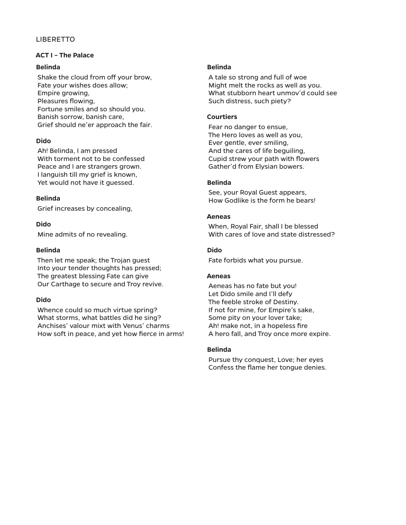# LIBERETTO

# **ACT I – The Palace**

# **Belinda**

 Shake the cloud from off your brow, Fate your wishes does allow; Empire growing, Pleasures flowing, Fortune smiles and so should you. Banish sorrow, banish care, Grief should ne'er approach the fair.

# **Dido**

 Ah! Belinda, I am pressed With torment not to be confessed Peace and I are strangers grown. I languish till my grief is known, Yet would not have it guessed.

# **Belinda**

Grief increases by concealing,

# **Dido**

Mine admits of no revealing.

# **Belinda**

 Then let me speak; the Trojan guest Into your tender thoughts has pressed; The greatest blessing Fate can give Our Carthage to secure and Troy revive.

# **Dido**

 Whence could so much virtue spring? What storms, what battles did he sing? Anchises' valour mixt with Venus' charms How soft in peace, and yet how fierce in arms!

#### **Belinda**

 A tale so strong and full of woe Might melt the rocks as well as you. What stubborn heart unmov'd could see Such distress, such piety?

# **Courtiers**

 Fear no danger to ensue, The Hero loves as well as you, Ever gentle, ever smiling, And the cares of life beguiling, Cupid strew your path with flowers Gather'd from Elysian bowers.

# **Belinda**

 See, your Royal Guest appears, How Godlike is the form he bears!

# **Aeneas**

 When, Royal Fair, shall I be blessed With cares of love and state distressed?

# **Dido**

Fate forbids what you pursue.

#### **Aeneas**

 Aeneas has no fate but you! Let Dido smile and I'll defy The feeble stroke of Destiny. If not for mine, for Empire's sake, Some pity on your lover take; Ah! make not, in a hopeless fire A hero fall, and Troy once more expire.

# **Belinda**

 Pursue thy conquest, Love; her eyes Confess the flame her tongue denies.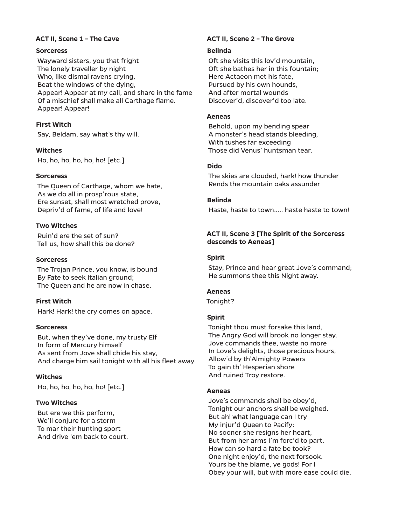# **Sorceress**

 Wayward sisters, you that fright The lonely traveller by night Who, like dismal ravens crying, Beat the windows of the dying, Appear! Appear at my call, and share in the fame Of a mischief shall make all Carthage flame. Appear! Appear!

# **First Witch**

Say, Beldam, say what's thy will.

# **Witches**

Ho, ho, ho, ho, ho, ho! [etc.]

# **Sorceress**

 The Queen of Carthage, whom we hate, As we do all in prosp'rous state, Ere sunset, shall most wretched prove, Depriv'd of fame, of life and love!

# **Two Witches**

 Ruin'd ere the set of sun? Tell us, how shall this be done?

# **Sorceress**

 The Trojan Prince, you know, is bound By Fate to seek Italian ground; The Queen and he are now in chase.

# **First Witch**

Hark! Hark! the cry comes on apace.

# **Sorceress**

 But, when they've done, my trusty Elf In form of Mercury himself As sent from Jove shall chide his stay, And charge him sail tonight with all his fleet away.

# **Witches**

Ho, ho, ho, ho, ho, ho! [etc.]

# **Two Witches**

 But ere we this perform, We'll conjure for a storm To mar their hunting sport And drive 'em back to court.

# **ACT II, Scene 1 – The Cave ACT II, Scene 2 – The Grove**

# **Belinda**

 Oft she visits this lov'd mountain, Oft she bathes her in this fountain; Here Actaeon met his fate, Pursued by his own hounds, And after mortal wounds Discover'd, discover'd too late.

# **Aeneas**

 Behold, upon my bending spear A monster's head stands bleeding, With tushes far exceeding Those did Venus' huntsman tear.

# **Dido**

 The skies are clouded, hark! how thunder Rends the mountain oaks assunder

# **Belinda**

Haste, haste to town….. haste haste to town!

# **ACT II, Scene 3 [The Spirit of the Sorceress descends to Aeneas]**

# **Spirit**

 Stay, Prince and hear great Jove's command; He summons thee this Night away.

# **Aeneas**

Tonight?

# **Spirit**

 Tonight thou must forsake this land, The Angry God will brook no longer stay. Jove commands thee, waste no more In Love's delights, those precious hours, Allow'd by th'Almighty Powers To gain th' Hesperian shore And ruined Troy restore.

# **Aeneas**

 Jove's commands shall be obey'd, Tonight our anchors shall be weighed. But ah! what language can I try My injur'd Queen to Pacify: No sooner she resigns her heart, But from her arms I'm forc'd to part. How can so hard a fate be took? One night enjoy'd, the next forsook. Yours be the blame, ye gods! For I Obey your will, but with more ease could die.